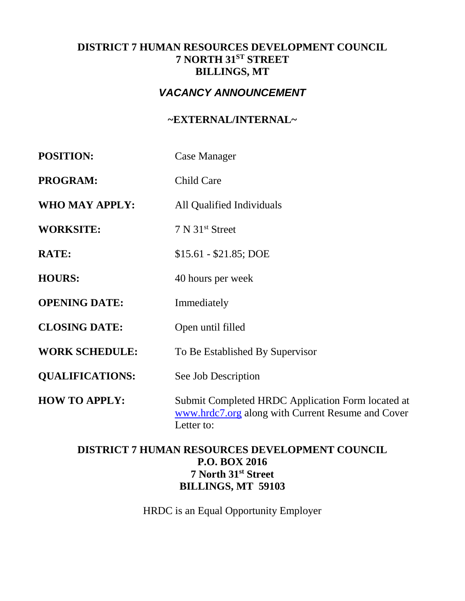## **DISTRICT 7 HUMAN RESOURCES DEVELOPMENT COUNCIL 7 NORTH 31ST STREET BILLINGS, MT**

# *VACANCY ANNOUNCEMENT*

# **~EXTERNAL/INTERNAL~**

| <b>POSITION:</b>       | Case Manager                                                                                                         |  |
|------------------------|----------------------------------------------------------------------------------------------------------------------|--|
| <b>PROGRAM:</b>        | Child Care                                                                                                           |  |
| <b>WHO MAY APPLY:</b>  | All Qualified Individuals                                                                                            |  |
| <b>WORKSITE:</b>       | 7 N 31 <sup>st</sup> Street                                                                                          |  |
| <b>RATE:</b>           | $$15.61 - $21.85; DOE$                                                                                               |  |
| <b>HOURS:</b>          | 40 hours per week                                                                                                    |  |
| <b>OPENING DATE:</b>   | Immediately                                                                                                          |  |
| <b>CLOSING DATE:</b>   | Open until filled                                                                                                    |  |
| <b>WORK SCHEDULE:</b>  | To Be Established By Supervisor                                                                                      |  |
| <b>QUALIFICATIONS:</b> | See Job Description                                                                                                  |  |
| <b>HOW TO APPLY:</b>   | Submit Completed HRDC Application Form located at<br>www.hrdc7.org along with Current Resume and Cover<br>Letter to: |  |

# **DISTRICT 7 HUMAN RESOURCES DEVELOPMENT COUNCIL P.O. BOX 2016 7 North 31st Street BILLINGS, MT 59103**

HRDC is an Equal Opportunity Employer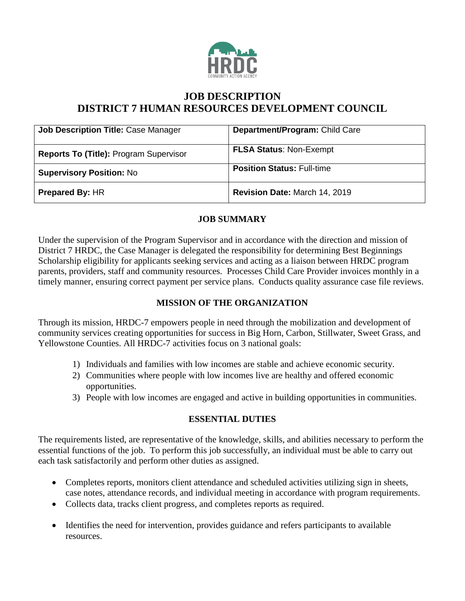

# **JOB DESCRIPTION DISTRICT 7 HUMAN RESOURCES DEVELOPMENT COUNCIL**

| <b>Job Description Title: Case Manager</b> | Department/Program: Child Care    |
|--------------------------------------------|-----------------------------------|
| Reports To (Title): Program Supervisor     | <b>FLSA Status: Non-Exempt</b>    |
| <b>Supervisory Position: No</b>            | <b>Position Status: Full-time</b> |
| <b>Prepared By: HR</b>                     | Revision Date: March 14, 2019     |

## **JOB SUMMARY**

Under the supervision of the Program Supervisor and in accordance with the direction and mission of District 7 HRDC, the Case Manager is delegated the responsibility for determining Best Beginnings Scholarship eligibility for applicants seeking services and acting as a liaison between HRDC program parents, providers, staff and community resources. Processes Child Care Provider invoices monthly in a timely manner, ensuring correct payment per service plans. Conducts quality assurance case file reviews.

## **MISSION OF THE ORGANIZATION**

Through its mission, HRDC-7 empowers people in need through the mobilization and development of community services creating opportunities for success in Big Horn, Carbon, Stillwater, Sweet Grass, and Yellowstone Counties. All HRDC-7 activities focus on 3 national goals:

- 1) Individuals and families with low incomes are stable and achieve economic security.
- 2) Communities where people with low incomes live are healthy and offered economic opportunities.
- 3) People with low incomes are engaged and active in building opportunities in communities.

### **ESSENTIAL DUTIES**

The requirements listed, are representative of the knowledge, skills, and abilities necessary to perform the essential functions of the job. To perform this job successfully, an individual must be able to carry out each task satisfactorily and perform other duties as assigned.

- Completes reports, monitors client attendance and scheduled activities utilizing sign in sheets, case notes, attendance records, and individual meeting in accordance with program requirements.
- Collects data, tracks client progress, and completes reports as required.
- Identifies the need for intervention, provides guidance and refers participants to available resources.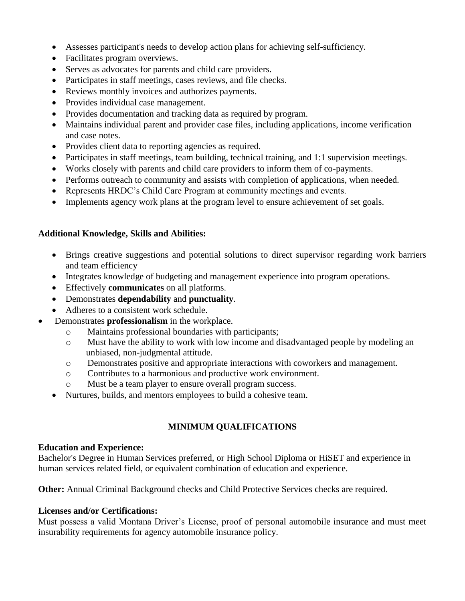- Assesses participant's needs to develop action plans for achieving self-sufficiency.
- Facilitates program overviews.
- Serves as advocates for parents and child care providers.
- Participates in staff meetings, cases reviews, and file checks.
- Reviews monthly invoices and authorizes payments.
- Provides individual case management.
- Provides documentation and tracking data as required by program.
- Maintains individual parent and provider case files, including applications, income verification and case notes.
- Provides client data to reporting agencies as required.
- Participates in staff meetings, team building, technical training, and 1:1 supervision meetings.
- Works closely with parents and child care providers to inform them of co-payments.
- Performs outreach to community and assists with completion of applications, when needed.
- Represents HRDC's Child Care Program at community meetings and events.
- Implements agency work plans at the program level to ensure achievement of set goals.

### **Additional Knowledge, Skills and Abilities:**

- Brings creative suggestions and potential solutions to direct supervisor regarding work barriers and team efficiency
- Integrates knowledge of budgeting and management experience into program operations.
- Effectively **communicates** on all platforms.
- Demonstrates **dependability** and **punctuality**.
- Adheres to a consistent work schedule.
- Demonstrates **professionalism** in the workplace.
	- o Maintains professional boundaries with participants;
	- o Must have the ability to work with low income and disadvantaged people by modeling an unbiased, non-judgmental attitude.
	- o Demonstrates positive and appropriate interactions with coworkers and management.
	- o Contributes to a harmonious and productive work environment.
	- o Must be a team player to ensure overall program success.
	- Nurtures, builds, and mentors employees to build a cohesive team.

## **MINIMUM QUALIFICATIONS**

### **Education and Experience:**

Bachelor's Degree in Human Services preferred, or High School Diploma or HiSET and experience in human services related field, or equivalent combination of education and experience.

**Other:** Annual Criminal Background checks and Child Protective Services checks are required.

### **Licenses and/or Certifications:**

Must possess a valid Montana Driver's License, proof of personal automobile insurance and must meet insurability requirements for agency automobile insurance policy.